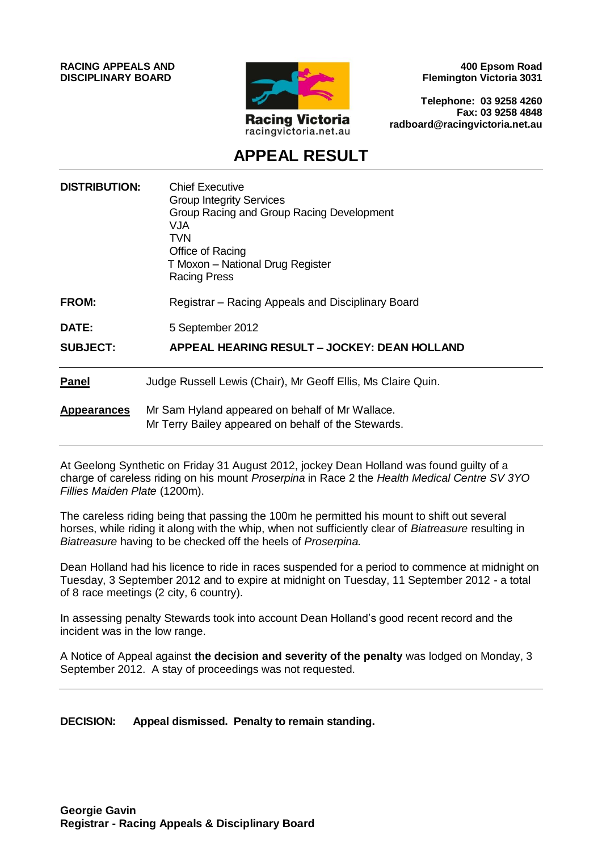**RACING APPEALS AND DISCIPLINARY BOARD**



**400 Epsom Road Flemington Victoria 3031**

**Telephone: 03 9258 4260 Fax: 03 9258 4848 radboard@racingvictoria.net.au**

# **APPEAL RESULT**

| <b>DISTRIBUTION:</b> | <b>Chief Executive</b><br><b>Group Integrity Services</b><br>Group Racing and Group Racing Development<br><b>VJA</b><br>TVN<br>Office of Racing<br>T Moxon - National Drug Register<br><b>Racing Press</b> |
|----------------------|------------------------------------------------------------------------------------------------------------------------------------------------------------------------------------------------------------|
| <b>FROM:</b>         | Registrar - Racing Appeals and Disciplinary Board                                                                                                                                                          |
| <b>DATE:</b>         | 5 September 2012                                                                                                                                                                                           |
| <b>SUBJECT:</b>      | APPEAL HEARING RESULT - JOCKEY: DEAN HOLLAND                                                                                                                                                               |
| Panel                | Judge Russell Lewis (Chair), Mr Geoff Ellis, Ms Claire Quin.                                                                                                                                               |
| <b>Appearances</b>   | Mr Sam Hyland appeared on behalf of Mr Wallace.<br>Mr Terry Bailey appeared on behalf of the Stewards.                                                                                                     |

At Geelong Synthetic on Friday 31 August 2012, jockey Dean Holland was found guilty of a charge of careless riding on his mount *Proserpina* in Race 2 the *Health Medical Centre SV 3YO Fillies Maiden Plate* (1200m).

The careless riding being that passing the 100m he permitted his mount to shift out several horses, while riding it along with the whip, when not sufficiently clear of *Biatreasure* resulting in *Biatreasure* having to be checked off the heels of *Proserpina.*

Dean Holland had his licence to ride in races suspended for a period to commence at midnight on Tuesday, 3 September 2012 and to expire at midnight on Tuesday, 11 September 2012 - a total of 8 race meetings (2 city, 6 country).

In assessing penalty Stewards took into account Dean Holland's good recent record and the incident was in the low range.

A Notice of Appeal against **the decision and severity of the penalty** was lodged on Monday, 3 September 2012. A stay of proceedings was not requested.

**DECISION: Appeal dismissed. Penalty to remain standing.**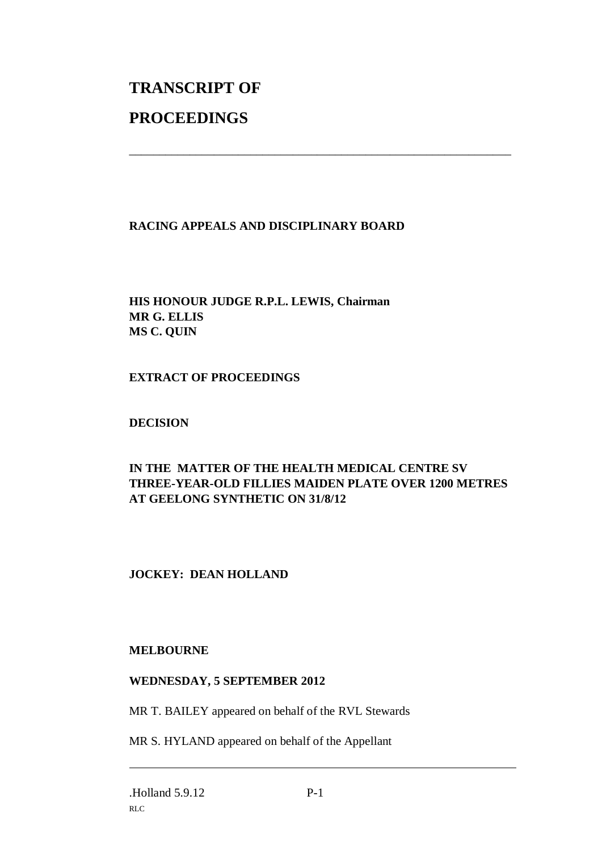# **TRANSCRIPT OF PROCEEDINGS**

#### **RACING APPEALS AND DISCIPLINARY BOARD**

### **HIS HONOUR JUDGE R.P.L. LEWIS, Chairman MR G. ELLIS MS C. QUIN**

#### **EXTRACT OF PROCEEDINGS**

#### **DECISION**

## **IN THE MATTER OF THE HEALTH MEDICAL CENTRE SV THREE-YEAR-OLD FILLIES MAIDEN PLATE OVER 1200 METRES AT GEELONG SYNTHETIC ON 31/8/12**

\_\_\_\_\_\_\_\_\_\_\_\_\_\_\_\_\_\_\_\_\_\_\_\_\_\_\_\_\_\_\_\_\_\_\_\_\_\_\_\_\_\_\_\_\_\_\_\_\_\_\_\_\_\_\_\_\_\_\_\_\_\_\_

### **JOCKEY: DEAN HOLLAND**

#### **MELBOURNE**

#### **WEDNESDAY, 5 SEPTEMBER 2012**

MR T. BAILEY appeared on behalf of the RVL Stewards

MR S. HYLAND appeared on behalf of the Appellant